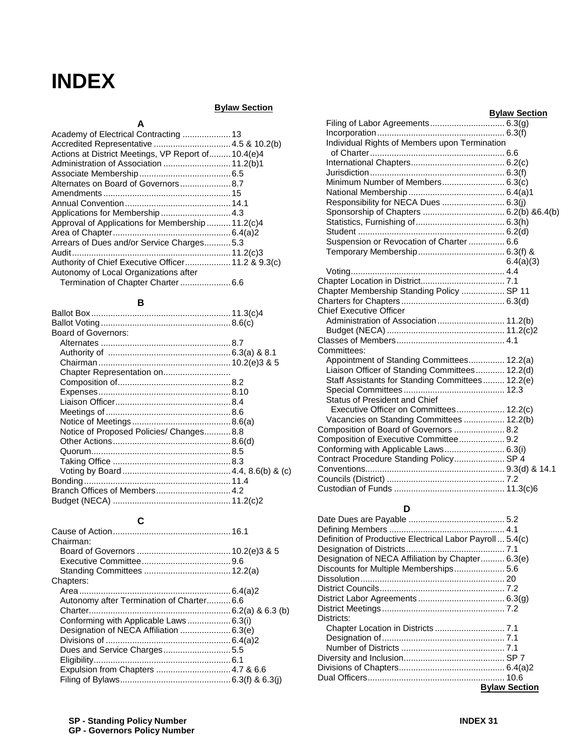# **INDEX**

# **Bylaw Section Bylaw Section**

| Bylaw Section |  |  |  |
|---------------|--|--|--|
|---------------|--|--|--|

| Actions at District Meetings, VP Report of 10.4(e)4 |  |
|-----------------------------------------------------|--|
| Administration of Association  11.2(b)1             |  |
|                                                     |  |
| Alternates on Board of Governors 8.7                |  |
|                                                     |  |
|                                                     |  |
|                                                     |  |
| Approval of Applications for Membership  11.2(c)4   |  |
|                                                     |  |
| Arrears of Dues and/or Service Charges5.3           |  |
|                                                     |  |
| Authority of Chief Executive Officer 11.2 & 9.3(c)  |  |
| Autonomy of Local Organizations after               |  |
|                                                     |  |

## **B**

| Board of Governors:                     |  |
|-----------------------------------------|--|
|                                         |  |
|                                         |  |
|                                         |  |
| Chapter Representation on               |  |
|                                         |  |
|                                         |  |
|                                         |  |
|                                         |  |
|                                         |  |
| Notice of Proposed Policies/ Changes8.8 |  |
|                                         |  |
|                                         |  |
|                                         |  |
|                                         |  |
|                                         |  |
|                                         |  |
|                                         |  |
|                                         |  |

# **C**

| Chairman:                                |  |
|------------------------------------------|--|
|                                          |  |
|                                          |  |
|                                          |  |
| Chapters:                                |  |
|                                          |  |
| Autonomy after Termination of Charter6.6 |  |
|                                          |  |
|                                          |  |
|                                          |  |
|                                          |  |
|                                          |  |
|                                          |  |
|                                          |  |
|                                          |  |
|                                          |  |

|                                                  | <b>Bylaw Section</b> |
|--------------------------------------------------|----------------------|
|                                                  |                      |
|                                                  |                      |
| Individual Rights of Members upon Termination    |                      |
|                                                  |                      |
|                                                  |                      |
|                                                  |                      |
| Minimum Number of Members 6.3(c)                 |                      |
|                                                  |                      |
| Responsibility for NECA Dues  6.3(j)             |                      |
|                                                  |                      |
|                                                  |                      |
|                                                  |                      |
| Suspension or Revocation of Charter  6.6         |                      |
|                                                  |                      |
|                                                  | 6.4(a)(3)            |
|                                                  |                      |
|                                                  |                      |
| Chapter Membership Standing Policy  SP 11        |                      |
|                                                  |                      |
| <b>Chief Executive Officer</b>                   |                      |
| Administration of Association 11.2(b)            |                      |
|                                                  |                      |
|                                                  |                      |
| Committees:                                      |                      |
| Appointment of Standing Committees 12.2(a)       |                      |
| Liaison Officer of Standing Committees 12.2(d)   |                      |
| Staff Assistants for Standing Committees 12.2(e) |                      |
|                                                  |                      |
| <b>Status of President and Chief</b>             |                      |
| Executive Officer on Committees 12.2(c)          |                      |
| Vacancies on Standing Committees  12.2(b)        |                      |
| Composition of Board of Governors  8.2           |                      |
| Composition of Executive Committee 9.2           |                      |
| Conforming with Applicable Laws 6.3(i)           |                      |
| Contract Procedure Standing Policy SP 4          |                      |
|                                                  |                      |
|                                                  |                      |
|                                                  |                      |

## **D**

| Definition of Productive Electrical Labor Payroll  5.4(c) |                      |
|-----------------------------------------------------------|----------------------|
|                                                           |                      |
| Designation of NECA Affiliation by Chapter 6.3(e)         |                      |
| Discounts for Multiple Memberships 5.6                    |                      |
|                                                           |                      |
|                                                           |                      |
|                                                           |                      |
|                                                           |                      |
| Districts:                                                |                      |
|                                                           |                      |
|                                                           |                      |
|                                                           |                      |
|                                                           |                      |
|                                                           |                      |
|                                                           |                      |
|                                                           | <b>Bylaw Section</b> |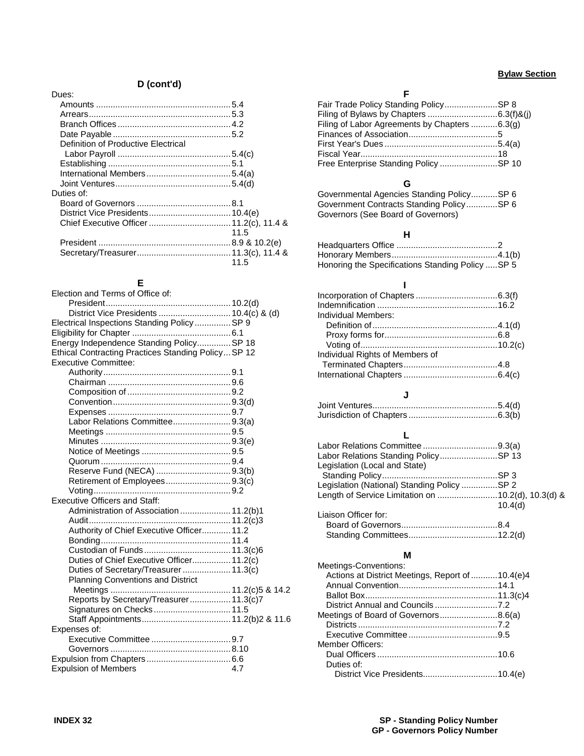#### **Bylaw Section**

# **D (cont'd)**

| Dues:                               |      |
|-------------------------------------|------|
|                                     |      |
|                                     |      |
|                                     |      |
|                                     |      |
| Definition of Productive Electrical |      |
|                                     |      |
|                                     |      |
|                                     |      |
|                                     |      |
| Duties of:                          |      |
|                                     |      |
|                                     |      |
|                                     |      |
|                                     | 11.5 |
|                                     |      |
|                                     |      |
|                                     | 11.5 |

## **E**

| Election and Terms of Office of:                    |
|-----------------------------------------------------|
|                                                     |
| District Vice Presidents  10.4(c) & (d)             |
| Electrical Inspections Standing Policy  SP 9        |
|                                                     |
| Energy Independence Standing PolicySP 18            |
| Ethical Contracting Practices Standing Policy SP 12 |
| <b>Executive Committee:</b>                         |
|                                                     |
|                                                     |
|                                                     |
|                                                     |
|                                                     |
| Labor Relations Committee9.3(a)                     |
|                                                     |
|                                                     |
|                                                     |
|                                                     |
| Reserve Fund (NECA) 9.3(b)                          |
|                                                     |
|                                                     |
| <b>Executive Officers and Staff:</b>                |
|                                                     |
| Administration of Association  11.2(b)1             |
|                                                     |
| Authority of Chief Executive Officer 11.2           |
|                                                     |
|                                                     |
| Duties of Chief Executive Officer 11.2(c)           |
| Duties of Secretary/Treasurer 11.3(c)               |
| <b>Planning Conventions and District</b>            |
|                                                     |
| Reports by Secretary/Treasurer 11.3(c)7             |
| Signatures on Checks 11.5                           |
|                                                     |
| Expenses of:                                        |
|                                                     |
|                                                     |
|                                                     |
| <b>Expulsion of Members</b><br>4.7                  |
|                                                     |

#### **F**

| Fair Trade Policy Standing PolicySP 8         |  |
|-----------------------------------------------|--|
|                                               |  |
| Filing of Labor Agreements by Chapters 6.3(g) |  |
|                                               |  |
|                                               |  |
|                                               |  |
| Free Enterprise Standing Policy SP 10         |  |

# **G**

Governmental Agencies Standing Policy...........SP 6 Government Contracts Standing Policy.............SP 6 Governors (See Board of Governors)

#### **H**

| Honoring the Specifications Standing Policy  SP 5 |  |
|---------------------------------------------------|--|

| Individual Members:             |  |
|---------------------------------|--|
|                                 |  |
|                                 |  |
|                                 |  |
| Individual Rights of Members of |  |
|                                 |  |
|                                 |  |
|                                 |  |

#### **J**

#### **L**

| Labor Relations Standing PolicySP 13               |         |
|----------------------------------------------------|---------|
| Legislation (Local and State)                      |         |
|                                                    |         |
| Legislation (National) Standing Policy SP 2        |         |
| Length of Service Limitation on 10.2(d), 10.3(d) & |         |
|                                                    | 10.4(d) |
| Liaison Officer for:                               |         |
|                                                    |         |
|                                                    |         |
|                                                    |         |

## **M**

| Actions at District Meetings, Report of  10.4(e)4 |
|---------------------------------------------------|
|                                                   |
|                                                   |
|                                                   |
| Meetings of Board of Governors8.6(a)              |
|                                                   |
|                                                   |
|                                                   |
|                                                   |
|                                                   |
|                                                   |
|                                                   |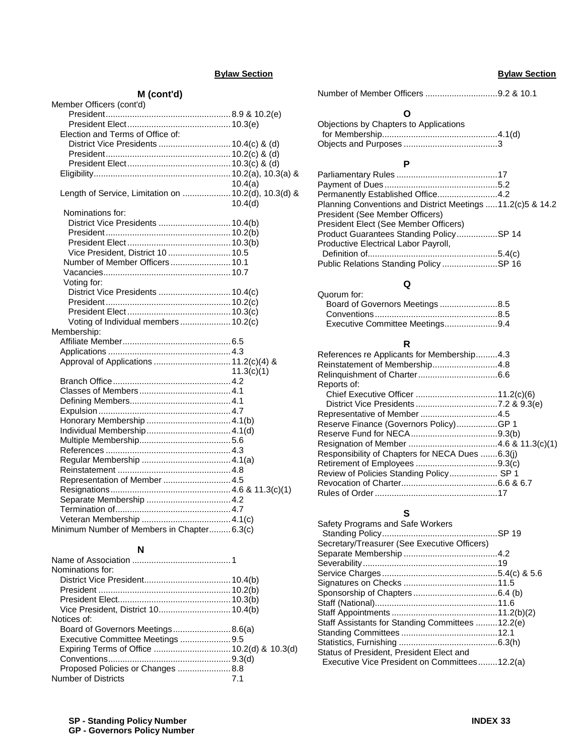## **Bylaw Section**

## **M (cont'd)**

| Member Officers (cont'd)                             |            |
|------------------------------------------------------|------------|
|                                                      |            |
|                                                      |            |
| Election and Terms of Office of:                     |            |
| District Vice Presidents  10.4(c) & (d)              |            |
|                                                      |            |
|                                                      |            |
|                                                      |            |
|                                                      | 10.4(a)    |
| Length of Service, Limitation on  10.2(d), 10.3(d) & |            |
|                                                      | 10.4(d)    |
| Nominations for:                                     |            |
| District Vice Presidents  10.4(b)                    |            |
|                                                      |            |
|                                                      |            |
| Vice President, District 10  10.5                    |            |
| Number of Member Officers  10.1                      |            |
|                                                      |            |
| Voting for:                                          |            |
| District Vice Presidents  10.4(c)                    |            |
|                                                      |            |
|                                                      |            |
| Voting of Individual members  10.2(c)                |            |
| Membership:                                          |            |
|                                                      |            |
|                                                      |            |
| Approval of Applications  11.2(c)(4) &               |            |
|                                                      | 11.3(c)(1) |
|                                                      |            |
|                                                      |            |
|                                                      |            |
|                                                      |            |
|                                                      |            |
|                                                      |            |
|                                                      |            |
|                                                      |            |
|                                                      |            |
|                                                      |            |
| Representation of Member  4.5                        |            |
|                                                      |            |
|                                                      |            |
|                                                      |            |
|                                                      |            |
| Minimum Number of Members in Chapter6.3(c)           |            |
|                                                      |            |

#### **N**

| Vice President, District 10 10.4(b) |
|-------------------------------------|
|                                     |
| Board of Governors Meetings8.6(a)   |
|                                     |
|                                     |
|                                     |
|                                     |
|                                     |
|                                     |

## **Bylaw Section**

Number of Member Officers ..............................9.2 & 10.1

#### **O**

| Objections by Chapters to Applications |  |
|----------------------------------------|--|
|                                        |  |
|                                        |  |

## **P**

| Permanently Established Office4.2                           |  |
|-------------------------------------------------------------|--|
| Planning Conventions and District Meetings 11.2(c) 5 & 14.2 |  |
| President (See Member Officers)                             |  |
| President Elect (See Member Officers)                       |  |
| Product Guarantees Standing PolicySP 14                     |  |
| Productive Electrical Labor Payroll,                        |  |
|                                                             |  |
| Public Relations Standing Policy SP 16                      |  |

# **Q**

| . .                             |  |
|---------------------------------|--|
| Quorum for:                     |  |
| Board of Governors Meetings8.5  |  |
|                                 |  |
| Executive Committee Meetings9.4 |  |

#### **R**

| Reinstatement of Membership4.8<br>Reports of:<br>Representative of Member 4.5<br>Reserve Finance (Governors Policy)GP 1<br>Responsibility of Chapters for NECA Dues 6.3(j)<br>Review of Policies Standing Policy SP 1 | References re Applicants for Membership4.3 |  |
|-----------------------------------------------------------------------------------------------------------------------------------------------------------------------------------------------------------------------|--------------------------------------------|--|
|                                                                                                                                                                                                                       |                                            |  |
|                                                                                                                                                                                                                       |                                            |  |
|                                                                                                                                                                                                                       |                                            |  |
|                                                                                                                                                                                                                       |                                            |  |
|                                                                                                                                                                                                                       |                                            |  |
|                                                                                                                                                                                                                       |                                            |  |
|                                                                                                                                                                                                                       |                                            |  |
|                                                                                                                                                                                                                       |                                            |  |
|                                                                                                                                                                                                                       |                                            |  |
|                                                                                                                                                                                                                       |                                            |  |
|                                                                                                                                                                                                                       |                                            |  |
|                                                                                                                                                                                                                       |                                            |  |
|                                                                                                                                                                                                                       |                                            |  |
|                                                                                                                                                                                                                       |                                            |  |

## **S**

| Safety Programs and Safe Workers                 |  |
|--------------------------------------------------|--|
|                                                  |  |
| Secretary/Treasurer (See Executive Officers)     |  |
|                                                  |  |
|                                                  |  |
|                                                  |  |
|                                                  |  |
|                                                  |  |
|                                                  |  |
|                                                  |  |
| Staff Assistants for Standing Committees 12.2(e) |  |
|                                                  |  |
|                                                  |  |
| Status of President, President Elect and         |  |
| Executive Vice President on Committees12.2(a)    |  |